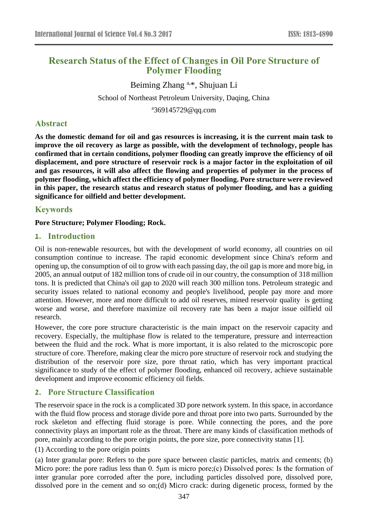# **Research Status of the Effect of Changes in Oil Pore Structure of Polymer Flooding**

Beiming Zhang a,\*, Shujuan Li School of Northeast Petroleum University, Daqing, China

a 369145729@qq.com

# **Abstract**

**As the domestic demand for oil and gas resources is increasing, it is the current main task to improve the oil recovery as large as possible, with the development of technology, people has confirmed that in certain conditions, polymer flooding can greatly improve the efficiency of oil displacement, and pore structure of reservoir rock is a major factor in the exploitation of oil and gas resources, it will also affect the flowing and properties of polymer in the process of polymer flooding, which affect the efficiency of polymer flooding. Pore structure were reviewed in this paper, the research status and research status of polymer flooding, and has a guiding significance for oilfield and better development.**

# **Keywords**

#### **Pore Structure; Polymer Flooding; Rock.**

#### **1. Introduction**

Oil is non-renewable resources, but with the development of world economy, all countries on oil consumption continue to increase. The rapid economic development since China's reform and opening up, the consumption of oil to grow with each passing day, the oil gap is more and more big, in 2005, an annual output of 182 million tons of crude oil in our country, the consumption of 318 million tons. It is predicted that China's oil gap to 2020 will reach 300 million tons. Petroleum strategic and security issues related to national economy and people's livelihood, people pay more and more attention. However, more and more difficult to add oil reserves, mined reservoir quality is getting worse and worse, and therefore maximize oil recovery rate has been a major issue oilfield oil research.

However, the core pore structure characteristic is the main impact on the reservoir capacity and recovery. Especially, the multiphase flow is related to the temperature, pressure and interreaction between the fluid and the rock. What is more important, it is also related to the microscopic pore structure of core. Therefore, making clear the micro pore structure of reservoir rock and studying the distribution of the reservoir pore size, pore throat ratio, which has very important practical significance to study of the effect of polymer flooding, enhanced oil recovery, achieve sustainable development and improve economic efficiency oil fields.

## **2. Pore Structure Classification**

The reservoir space in the rock is a complicated 3D pore network system. In this space, in accordance with the fluid flow process and storage divide pore and throat pore into two parts. Surrounded by the rock skeleton and effecting fluid storage is pore. While connecting the pores, and the pore connectivity plays an important role as the throat. There are many kinds of classification methods of pore, mainly according to the pore origin points, the pore size, pore connectivity status [1].

(1) According to the pore origin points

(a) Inter granular pore: Refers to the pore space between clastic particles, matrix and cements; (b) Micro pore: the pore radius less than 0. 5μm is micro pore;(c) Dissolved pores: Is the formation of inter granular pore corroded after the pore, including particles dissolved pore, dissolved pore, dissolved pore in the cement and so on;(d) Micro crack: during digenetic process, formed by the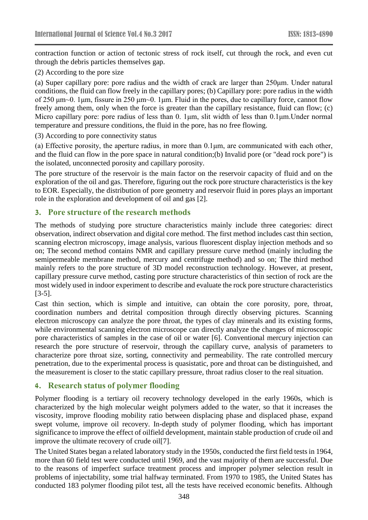contraction function or action of tectonic stress of rock itself, cut through the rock, and even cut through the debris particles themselves gap.

(2) According to the pore size

(a) Super capillary pore: pore radius and the width of crack are larger than 250μm. Under natural conditions, the fluid can flow freely in the capillary pores; (b) Capillary pore: pore radius in the width of 250 μm~0. 1μm, fissure in 250 μm~0. 1μm. Fluid in the pores, due to capillary force, cannot flow freely among them, only when the force is greater than the capillary resistance, fluid can flow; (c) Micro capillary pore: pore radius of less than 0. 1μm, slit width of less than 0.1μm.Under normal temperature and pressure conditions, the fluid in the pore, has no free flowing.

(3) According to pore connectivity status

(a) Effective porosity, the aperture radius, in more than 0.1μm, are communicated with each other, and the fluid can flow in the pore space in natural condition;(b) Invalid pore (or "dead rock pore") is the isolated, unconnected porosity and capillary porosity.

The pore structure of the reservoir is the main factor on the reservoir capacity of fluid and on the exploration of the oil and gas. Therefore, figuring out the rock pore structure characteristics is the key to EOR. Especially, the distribution of pore geometry and reservoir fluid in pores plays an important role in the exploration and development of oil and gas [2].

#### **3. Pore structure of the research methods**

The methods of studying pore structure characteristics mainly include three categories: direct observation, indirect observation and digital core method. The first method includes cast thin section, scanning electron microscopy, image analysis, various fluorescent display injection methods and so on; The second method contains NMR and capillary pressure curve method (mainly including the semipermeable membrane method, mercury and centrifuge method) and so on; The third method mainly refers to the pore structure of 3D model reconstruction technology. However, at present, capillary pressure curve method, casting pore structure characteristics of thin section of rock are the most widely used in indoor experiment to describe and evaluate the rock pore structure characteristics [3-5].

Cast thin section, which is simple and intuitive, can obtain the core porosity, pore, throat, coordination numbers and detrital composition through directly observing pictures. Scanning electron microscopy can analyze the pore throat, the types of clay minerals and its existing forms, while environmental scanning electron microscope can directly analyze the changes of microscopic pore characteristics of samples in the case of oil or water [6]. Conventional mercury injection can research the pore structure of reservoir, through the capillary curve, analysis of parameters to characterize pore throat size, sorting, connectivity and permeability. The rate controlled mercury penetration, due to the experimental process is quasistatic, pore and throat can be distinguished, and the measurement is closer to the static capillary pressure, throat radius closer to the real situation.

## **4. Research status of polymer flooding**

Polymer flooding is a tertiary oil recovery technology developed in the early 1960s, which is characterized by the high molecular weight polymers added to the water, so that it increases the viscosity, improve flooding mobility ratio between displacing phase and displaced phase, expand swept volume, improve oil recovery. In-depth study of polymer flooding, which has important significance to improve the effect of oilfield development, maintain stable production of crude oil and improve the ultimate recovery of crude oil[7].

The United States began a related laboratory study in the 1950s, conducted the first field tests in 1964, more than 60 field test were conducted until 1969, and the vast majority of them are successful. Due to the reasons of imperfect surface treatment process and improper polymer selection result in problems of injectability, some trial halfway terminated. From 1970 to 1985, the United States has conducted 183 polymer flooding pilot test, all the tests have received economic benefits. Although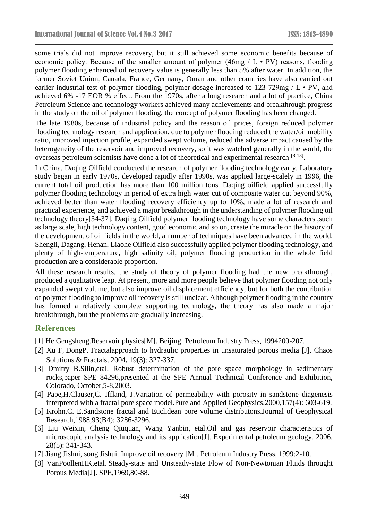some trials did not improve recovery, but it still achieved some economic benefits because of economic policy. Because of the smaller amount of polymer  $(46mg / L \cdot PV)$  reasons, flooding polymer flooding enhanced oil recovery value is generally less than 5% after water. In addition, the former Soviet Union, Canada, France, Germany, Oman and other countries have also carried out earlier industrial test of polymer flooding, polymer dosage increased to 123-729mg / L • PV, and achieved 6% -17 EOR % effect. From the 1970s, after a long research and a lot of practice, China Petroleum Science and technology workers achieved many achievements and breakthrough progress in the study on the oil of polymer flooding, the concept of polymer flooding has been changed.

The late 1980s, because of industrial policy and the reason oil prices, foreign reduced polymer flooding technology research and application, due to polymer flooding reduced the water/oil mobility ratio, improved injection profile, expanded swept volume, reduced the adverse impact caused by the heterogeneity of the reservoir and improved recovery, so it was watched generally in the world, the overseas petroleum scientists have done a lot of theoretical and experimental research [8-13].

In China, Daqing Oilfield conducted the research of polymer flooding technology early. Laboratory study began in early 1970s, developed rapidly after 1990s, was applied large-scalely in 1996, the current total oil production has more than 100 million tons. Daqing oilfield applied successfully polymer flooding technology in period of extra high water cut of composite water cut beyond 90%, achieved better than water flooding recovery efficiency up to 10%, made a lot of research and practical experience, and achieved a major breakthrough in the understanding of polymer flooding oil technology theory[34-37]. Daqing Oilfield polymer flooding technology have some characters ,such as large scale, high technology content, good economic and so on, create the miracle on the history of the development of oil fields in the world, a number of techniques have been advanced in the world. Shengli, Dagang, Henan, Liaohe Oilfield also successfully applied polymer flooding technology, and plenty of high-temperature, high salinity oil, polymer flooding production in the whole field production are a considerable proportion.

All these research results, the study of theory of polymer flooding had the new breakthrough, produced a qualitative leap. At present, more and more people believe that polymer flooding not only expanded swept volume, but also improve oil displacement efficiency, but for both the contribution of polymer flooding to improve oil recovery is still unclear. Although polymer flooding in the country has formed a relatively complete supporting technology, the theory has also made a major breakthrough, but the problems are gradually increasing.

## **References**

- [1] He Gengsheng.Reservoir physics[M]. Beijing: Petroleum Industry Press, 1994200-207.
- [2] Xu F, DongP. Fractalapproach to hydraulic properties in unsaturated porous media [J]. Chaos Solutions & Fractals,2004,19(3): 327-337.
- [3] Dmitry B.Silin,etal. Robust determination of the pore space morphology in sedimentary rocks,paper SPE 84296,presented at the SPE Annual Technical Conference and Exhibition, Colorado, October,5-8,2003.
- [4] Pape,H.Clauser,C. Iffland, J.Variation of permeability with porosity in sandstone diagenesis interpreted with a fractal pore space model.Pure and Applied Geophysics,2000,157(4): 603-619.
- [5] Krohn,C. E.Sandstone fractal and Euclidean pore volume distributons.Journal of Geophysical Research,1988,93(B4): 3286-3296.
- [6] Liu Weixin, Cheng Qiuquan, Wang Yanbin, etal.Oil and gas reservoir characteristics of microscopic analysis technology and its application[J]. Experimental petroleum geology, 2006, 28(5): 341-343.
- [7] Jiang Jishui, song Jishui. Improve oil recovery [M]. Petroleum Industry Press, 1999:2-10.
- [8] VanPoollenHK, etal. Steady-state and Unsteady-state Flow of Non-Newtonian Fluids throught Porous Media[J].SPE,1969,80-88.